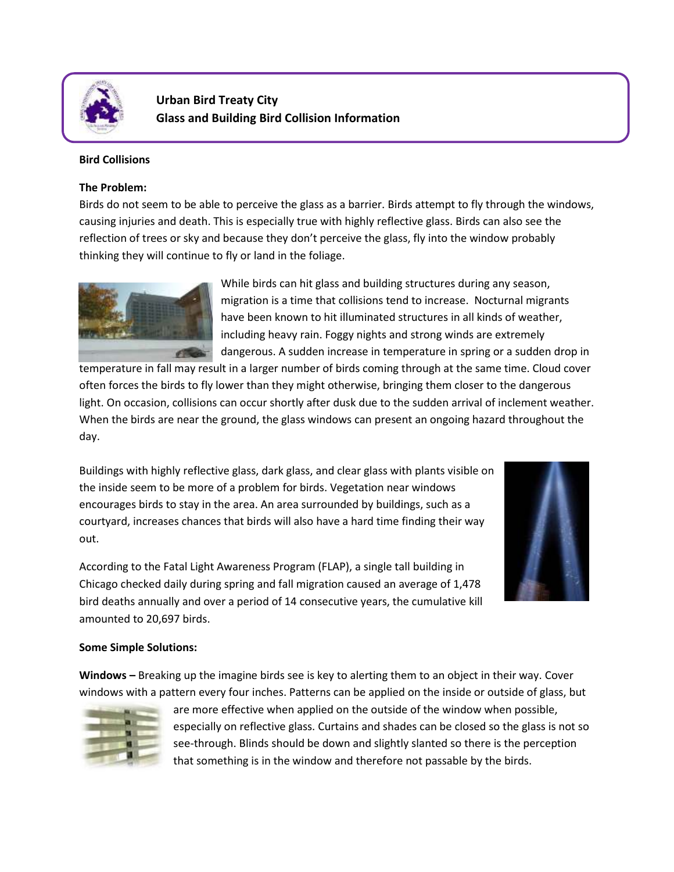

**Urban Bird Treaty City Glass and Building Bird Collision Information**

## **Bird Collisions**

## **The Problem:**

Birds do not seem to be able to perceive the glass as a barrier. Birds attempt to fly through the windows, causing injuries and death. This is especially true with highly reflective glass. Birds can also see the reflection of trees or sky and because they don't perceive the glass, fly into the window probably thinking they will continue to fly or land in the foliage.



While birds can hit glass and building structures during any season, migration is a time that collisions tend to increase. Nocturnal migrants have been known to hit illuminated structures in all kinds of weather, including heavy rain. Foggy nights and strong winds are extremely dangerous. A sudden increase in temperature in spring or a sudden drop in

temperature in fall may result in a larger number of birds coming through at the same time. Cloud cover often forces the birds to fly lower than they might otherwise, bringing them closer to the dangerous light. On occasion, collisions can occur shortly after dusk due to the sudden arrival of inclement weather. When the birds are near the ground, the glass windows can present an ongoing hazard throughout the day.

Buildings with highly reflective glass, dark glass, and clear glass with plants visible on the inside seem to be more of a problem for birds. Vegetation near windows encourages birds to stay in the area. An area surrounded by buildings, such as a courtyard, increases chances that birds will also have a hard time finding their way out.



According to the Fatal Light Awareness Program (FLAP), a single tall building in Chicago checked daily during spring and fall migration caused an average of 1,478 bird deaths annually and over a period of 14 consecutive years, the cumulative kill amounted to 20,697 birds.

## **Some Simple Solutions:**

**Windows –** Breaking up the imagine birds see is key to alerting them to an object in their way. Cover windows with a pattern every four inches. Patterns can be applied on the inside or outside of glass, but



are more effective when applied on the outside of the window when possible, especially on reflective glass. Curtains and shades can be closed so the glass is not so see-through. Blinds should be down and slightly slanted so there is the perception that something is in the window and therefore not passable by the birds.